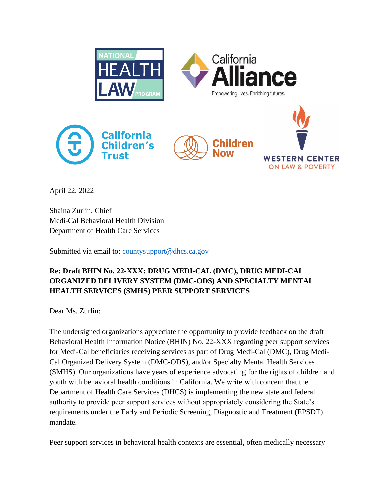

April 22, 2022

Shaina Zurlin, Chief Medi-Cal Behavioral Health Division Department of Health Care Services

Submitted via email to: [countysupport@dhcs.ca.gov](mailto:countysupport@dhcs.ca.gov)

## **Re: Draft BHIN No. 22-XXX: DRUG MEDI-CAL (DMC), DRUG MEDI-CAL ORGANIZED DELIVERY SYSTEM (DMC-ODS) AND SPECIALTY MENTAL HEALTH SERVICES (SMHS) PEER SUPPORT SERVICES**

Dear Ms. Zurlin:

The undersigned organizations appreciate the opportunity to provide feedback on the draft Behavioral Health Information Notice (BHIN) No. 22-XXX regarding peer support services for Medi-Cal beneficiaries receiving services as part of Drug Medi-Cal (DMC), Drug Medi-Cal Organized Delivery System (DMC-ODS), and/or Specialty Mental Health Services (SMHS). Our organizations have years of experience advocating for the rights of children and youth with behavioral health conditions in California. We write with concern that the Department of Health Care Services (DHCS) is implementing the new state and federal authority to provide peer support services without appropriately considering the State's requirements under the Early and Periodic Screening, Diagnostic and Treatment (EPSDT) mandate.

Peer support services in behavioral health contexts are essential, often medically necessary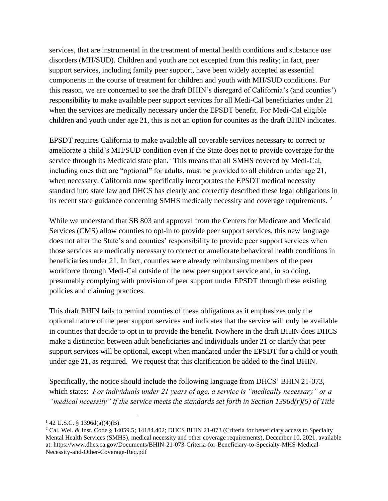services, that are instrumental in the treatment of mental health conditions and substance use disorders (MH/SUD). Children and youth are not excepted from this reality; in fact, peer support services, including family peer support, have been widely accepted as essential components in the course of treatment for children and youth with MH/SUD conditions. For this reason, we are concerned to see the draft BHIN's disregard of California's (and counties') responsibility to make available peer support services for all Medi-Cal beneficiaries under 21 when the services are medically necessary under the EPSDT benefit. For Medi-Cal eligible children and youth under age 21, this is not an option for counites as the draft BHIN indicates.

EPSDT requires California to make available all coverable services necessary to correct or ameliorate a child's MH/SUD condition even if the State does not to provide coverage for the service through its Medicaid state plan.<sup>1</sup> This means that all SMHS covered by Medi-Cal, including ones that are "optional" for adults, must be provided to all children under age 21, when necessary. California now specifically incorporates the EPSDT medical necessity standard into state law and DHCS has clearly and correctly described these legal obligations in its recent state guidance concerning SMHS medically necessity and coverage requirements. <sup>2</sup>

While we understand that SB 803 and approval from the Centers for Medicare and Medicaid Services (CMS) allow counties to opt-in to provide peer support services, this new language does not alter the State's and counties' responsibility to provide peer support services when those services are medically necessary to correct or ameliorate behavioral health conditions in beneficiaries under 21. In fact, counties were already reimbursing members of the peer workforce through Medi-Cal outside of the new peer support service and, in so doing, presumably complying with provision of peer support under EPSDT through these existing policies and claiming practices.

This draft BHIN fails to remind counties of these obligations as it emphasizes only the optional nature of the peer support services and indicates that the service will only be available in counties that decide to opt in to provide the benefit. Nowhere in the draft BHIN does DHCS make a distinction between adult beneficiaries and individuals under 21 or clarify that peer support services will be optional, except when mandated under the EPSDT for a child or youth under age 21, as required. We request that this clarification be added to the final BHIN.

Specifically, the notice should include the following language from DHCS' BHIN 21-073, which states: *For individuals under 21 years of age, a service is "medically necessary" or a "medical necessity" if the service meets the standards set forth in Section 1396d(r)(5) of Title* 

 $142$  U.S.C. § 1396d(a)(4)(B).

<sup>&</sup>lt;sup>2</sup> Cal. Wel. & Inst. Code § 14059.5; 14184.402; DHCS BHIN 21-073 (Criteria for beneficiary access to Specialty Mental Health Services (SMHS), medical necessity and other coverage requirements), December 10, 2021, available at: https://www.dhcs.ca.gov/Documents/BHIN-21-073-Criteria-for-Beneficiary-to-Specialty-MHS-Medical-Necessity-and-Other-Coverage-Req.pdf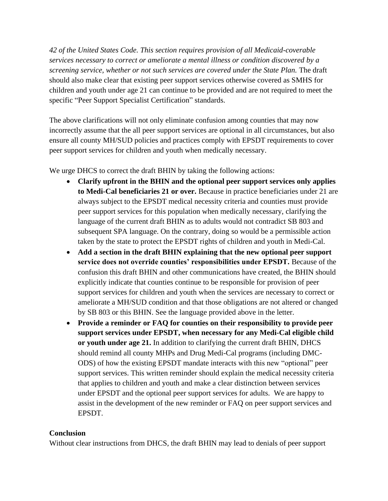*42 of the United States Code. This section requires provision of all Medicaid-coverable services necessary to correct or ameliorate a mental illness or condition discovered by a screening service, whether or not such services are covered under the State Plan.* The draft should also make clear that existing peer support services otherwise covered as SMHS for children and youth under age 21 can continue to be provided and are not required to meet the specific "Peer Support Specialist Certification" standards.

The above clarifications will not only eliminate confusion among counties that may now incorrectly assume that the all peer support services are optional in all circumstances, but also ensure all county MH/SUD policies and practices comply with EPSDT requirements to cover peer support services for children and youth when medically necessary.

We urge DHCS to correct the draft BHIN by taking the following actions:

- **Clarify upfront in the BHIN and the optional peer support services only applies to Medi-Cal beneficiaries 21 or over.** Because in practice beneficiaries under 21 are always subject to the EPSDT medical necessity criteria and counties must provide peer support services for this population when medically necessary, clarifying the language of the current draft BHIN as to adults would not contradict SB 803 and subsequent SPA language. On the contrary, doing so would be a permissible action taken by the state to protect the EPSDT rights of children and youth in Medi-Cal.
- **Add a section in the draft BHIN explaining that the new optional peer support service does not override counties' responsibilities under EPSDT.** Because of the confusion this draft BHIN and other communications have created, the BHIN should explicitly indicate that counties continue to be responsible for provision of peer support services for children and youth when the services are necessary to correct or ameliorate a MH/SUD condition and that those obligations are not altered or changed by SB 803 or this BHIN. See the language provided above in the letter.
- **Provide a reminder or FAQ for counties on their responsibility to provide peer support services under EPSDT, when necessary for any Medi-Cal eligible child or youth under age 21.** In addition to clarifying the current draft BHIN, DHCS should remind all county MHPs and Drug Medi-Cal programs (including DMC-ODS) of how the existing EPSDT mandate interacts with this new "optional" peer support services. This written reminder should explain the medical necessity criteria that applies to children and youth and make a clear distinction between services under EPSDT and the optional peer support services for adults. We are happy to assist in the development of the new reminder or FAQ on peer support services and EPSDT.

## **Conclusion**

Without clear instructions from DHCS, the draft BHIN may lead to denials of peer support